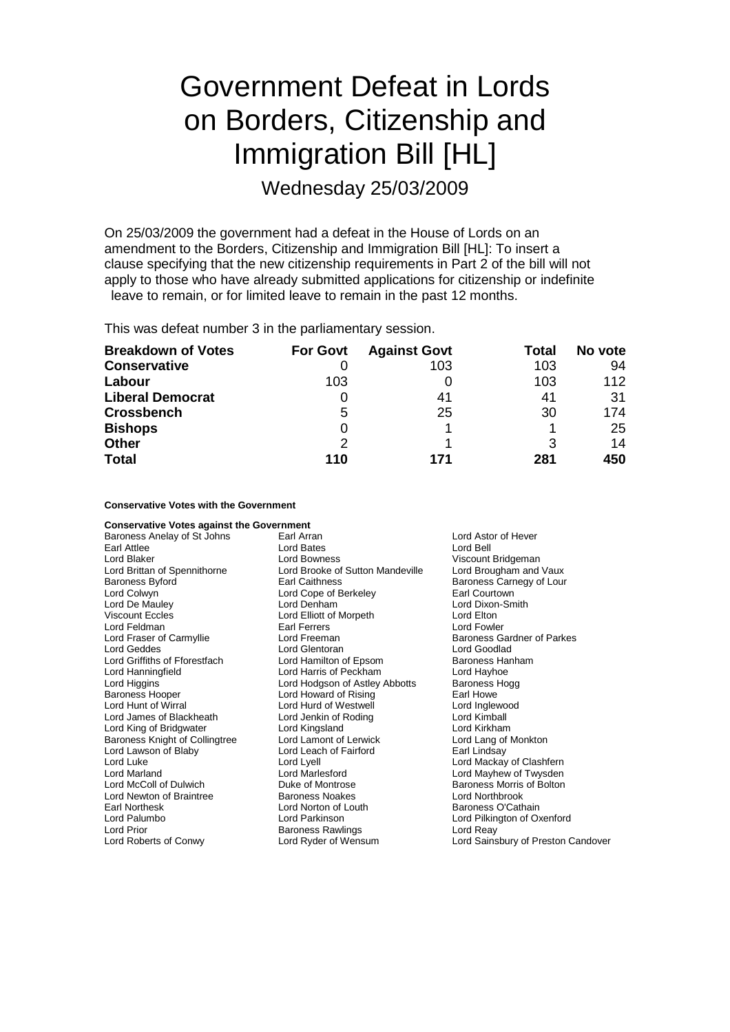# Government Defeat in Lords on Borders, Citizenship and Immigration Bill [HL]

Wednesday 25/03/2009

On 25/03/2009 the government had a defeat in the House of Lords on an amendment to the Borders, Citizenship and Immigration Bill [HL]: To insert a clause specifying that the new citizenship requirements in Part 2 of the bill will not apply to those who have already submitted applications for citizenship or indefinite leave to remain, or for limited leave to remain in the past 12 months.

This was defeat number 3 in the parliamentary session.

| <b>Breakdown of Votes</b> | <b>For Govt</b> | <b>Against Govt</b> | Total | No vote |
|---------------------------|-----------------|---------------------|-------|---------|
| <b>Conservative</b>       |                 | 103                 | 103   | 94      |
| Labour                    | 103             |                     | 103   | 112     |
| <b>Liberal Democrat</b>   |                 | 41                  | 41    | 31      |
| <b>Crossbench</b>         | 5               | 25                  | 30    | 174     |
| <b>Bishops</b>            | 0               |                     |       | 25      |
| <b>Other</b>              | 2               |                     | 3     | 14      |
| <b>Total</b>              | 110             | 171                 | 281   | 450     |

# **Conservative Votes with the Government**

| <b>Conservative Votes against the Government</b> |                                  |                                    |
|--------------------------------------------------|----------------------------------|------------------------------------|
| Baroness Anelay of St Johns                      | Earl Arran                       | Lord Astor of Hever                |
| Earl Attlee                                      | <b>Lord Bates</b>                | Lord Bell                          |
| Lord Blaker                                      | Lord Bowness                     | Viscount Bridgeman                 |
| Lord Brittan of Spennithorne                     | Lord Brooke of Sutton Mandeville | Lord Brougham and Vaux             |
| <b>Baroness Byford</b>                           | <b>Earl Caithness</b>            | Baroness Carnegy of Lour           |
| Lord Colwyn                                      | Lord Cope of Berkeley            | Earl Courtown                      |
| Lord De Mauley                                   | Lord Denham                      | Lord Dixon-Smith                   |
| <b>Viscount Eccles</b>                           | Lord Elliott of Morpeth          | Lord Elton                         |
| Lord Feldman                                     | Earl Ferrers                     | Lord Fowler                        |
| Lord Fraser of Carmyllie                         | Lord Freeman                     | Baroness Gardner of Parkes         |
| Lord Geddes                                      | Lord Glentoran                   | Lord Goodlad                       |
| Lord Griffiths of Fforestfach                    | Lord Hamilton of Epsom           | Baroness Hanham                    |
| Lord Hanningfield                                | Lord Harris of Peckham           | Lord Hayhoe                        |
| Lord Higgins                                     | Lord Hodgson of Astley Abbotts   | Baroness Hogg                      |
| <b>Baroness Hooper</b>                           | Lord Howard of Rising            | Earl Howe                          |
| Lord Hunt of Wirral                              | Lord Hurd of Westwell            | Lord Inglewood                     |
| Lord James of Blackheath                         | Lord Jenkin of Roding            | Lord Kimball                       |
| Lord King of Bridgwater                          | Lord Kingsland                   | Lord Kirkham                       |
| Baroness Knight of Collingtree                   | Lord Lamont of Lerwick           | Lord Lang of Monkton               |
| Lord Lawson of Blaby                             | Lord Leach of Fairford           | Earl Lindsay                       |
| Lord Luke                                        | Lord Lyell                       | Lord Mackay of Clashfern           |
| Lord Marland                                     | Lord Marlesford                  | Lord Mayhew of Twysden             |
| Lord McColl of Dulwich                           | Duke of Montrose                 | Baroness Morris of Bolton          |
| Lord Newton of Braintree                         | <b>Baroness Noakes</b>           | Lord Northbrook                    |
| Earl Northesk                                    | Lord Norton of Louth             | Baroness O'Cathain                 |
| Lord Palumbo                                     | Lord Parkinson                   | Lord Pilkington of Oxenford        |
| Lord Prior                                       | <b>Baroness Rawlings</b>         | Lord Reay                          |
| Lord Roberts of Conwy                            | Lord Ryder of Wensum             | Lord Sainsbury of Preston Candover |
|                                                  |                                  |                                    |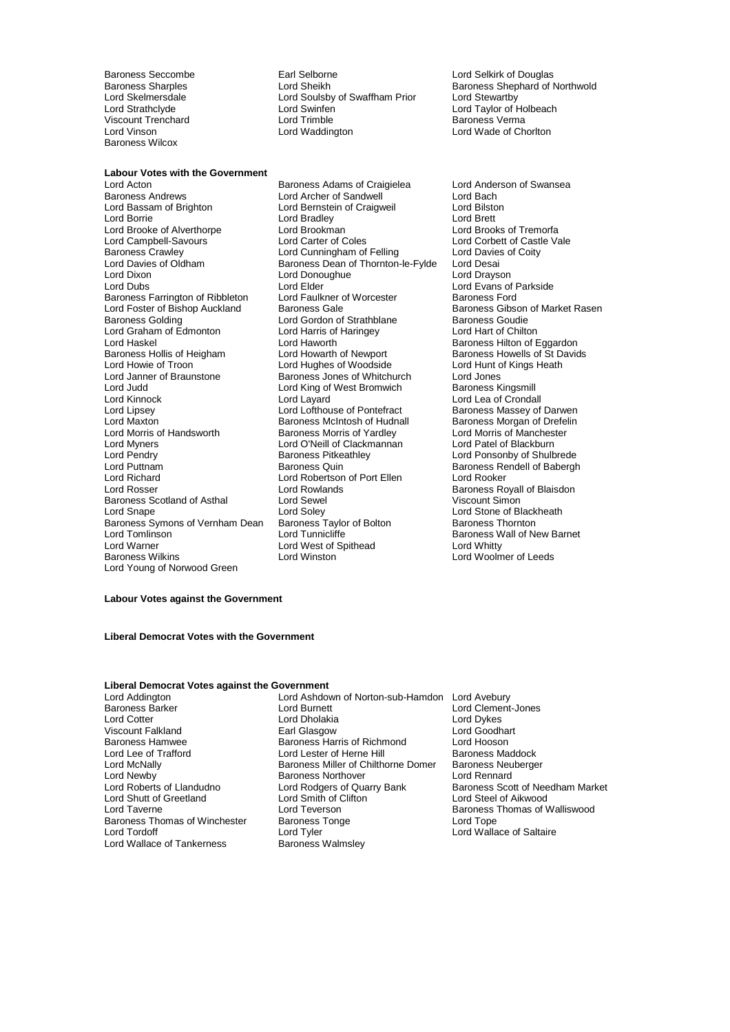Viscount Trenchard<br>
Lord Vinson<br>
Lord Vinson Baroness Wilcox

Baroness Seccombe **Earl Selborne** Earl Selborne Lord Selkirk of Douglas<br>
Baroness Sharples **Communist Contract Communist Communist Communist Communist Communist Communist Communist Communist Communist Communist Communist C** Lord Soulsby of Swaffham Prior Lord Skelmersdale Lord Soulsby of Swaffham Prior<br>
Lord Stewartby<br>
Lord Strathclyde Lord Swinfen Lord Trimble<br>
Viscount Trenchard Lord Trimble Baroness Verma

Baroness Sharples Lord Sheikh Baroness Shephard of Northwold Lord Wade of Chorlton

### **Labour Votes with the Government**

Baroness Andrews **Communist Club And Archer of Sandwell Communist Club Archer Club Archer Club Archer Club Archer**<br>
Lord Bassam of Brighton **Club Lord Bernstein of Craigweil** Lord Bilston Lord Borrie Lord Bradley Lord Brett Lord Brooke of Alverthorpe Lord Brookman and Lord Brooks of Tremorfa<br>
Lord Campbell-Savours Lord Carter of Coles<br>
Lord Campbell-Savours Lord Carter of Coles Lord Campbell-Savours Lord Carter of Coles Lord Corbett of Castle Vale<br>
Raroness Crawley Lord Cunningham of Felling Lord Davies of Coity Baroness Crawley **Lord Cunningham of Felling** Lord Davies<br>
Lord Davies of Oldham **Baroness Dean of Thornton-le-Fylde** Lord Desai Lord Davies of Oldham Baroness Dean of Thornton-le-Fylde Lord Desai<br>Lord Dixon Lord Desaing Lord Desaing Lord Desaing Lord Drayson Lord Dubs<br>
Baroness Farrington of Ribbleton Lord Eaulkner of Worcester Baroness Ford<br>
Baroness Ford Baroness Farrington of Ribbleton Lord Faulkner of Worcester Baroness Ford Lord Foster of Bishop Auckland Baroness Gale Baroness Garoness Gibson of Market Rasen<br>Baroness Golding Baroness Lord Gordon of Strathblane Baroness Goudie Lord Graham of Edmonton Lord Harris of<br>
Lord Haskel Lord Haworth Lord Haskel Diversion Corresponding Lord Haworth Corresponding Baroness Hilton of Eggardon<br>
Baroness Hollis of Heigham Lord Howarth of Newport Baroness Howells of St David Baroness Hollis of Heigham Lord Howarth of Newport Baroness Howells of St Davids<br>Lord Howie of Troon Lord Hughes of Woodside Lord Hunt of Kings Heath Lord Howie of Troon **Lord Hughes of Woodside** Cord Hunt of Lord Hunt Cord Hunt of Air Meath Lord Jones Heather Heath<br>Lord Janner of Braunstone **Reather Beathers Heather Heather Heather** Heathers Heathers Heathers Heathers Lord Judd Lord King of West Bromwich Baroness Kingsmill Lord Kinnock Lord Layard Lord Lea of Crondall Lord Lipsey Lord Lofthouse of Pontefract Baroness Massey of Darwen<br>Lord Maxton Lord Baroness McIntosh of Hudnall Baroness Morgan of Drefelin Lord Maxton Baroness McIntosh of Hudnall<br>
Lord Morris of Handsworth Baroness Morris of Yardley Lord Myners **Lord O'Neill of Clackmannan**<br>
Lord Pendry **Communist Clackmannan**<br>
Baroness Pitkeathley Lord Pendry **Communist Communist Communist Party Communist Pendry** Correspondent Lord Ponsonby of Shulbrede<br>
Lord Puttnam **Baroness Quin** Baroness Cuin<br>
Baroness Rendell of Babergh Lord Puttnam **Baroness Quin** Baroness Rendell of Babergh<br>
Lord Richard **Baroness Lord Robertson of Port Ellen** Lord Rooker Lord Richard **Lord Robertson of Port Ellen**<br>
Lord Rosser **Lord Rowlands** Baroness Scotland of Asthal Lord Snape **Lord Soley** Lord Soley Lord Soley Lord Stone of Blackheath<br>
Baroness Symons of Vernham Dean Baroness Taylor of Bolton **Baroness Thornton** Baroness Symons of Vernham Dean Baroness Taylor<br>1 ord Tomlinson Baroness Taylor Lord Tomlinson **Lord Tunnicliffe** Baroness Wall of New Barnet<br>
Lord Warner **Lord West of Spithead Baroness Wall of New Barnet** Lord Warner Lord Warner Lord West of Spithead<br>Baroness Wilkins Lord Winston Lord Winston Lord Young of Norwood Green

Lord Acton **Baroness Adams of Craigielea** Lord Anderson of Swansea<br>
Baroness Andrews **Corporat Corporat Corporat Corporat Corporat Corporat Corporat Corporat Corporat Corporat Corpo** Lord Bernstein of Craigweil Lord Donoughue Lord Gordon of Strathblane Baroness Goudie<br>
Lord Harris of Haringey<br>
Lord Hart of Chilton Baroness Jones of Whitchurch Baroness Morris of Yardley<br>
Lord O'Neill of Clackmannan<br>
Lord Patel of Blackburn Lord Rosser Lord Rowlands Baroness Royall of Blaisdon

Lord Woolmer of Leeds

# **Labour Votes against the Government**

### **Liberal Democrat Votes with the Government**

#### **Liberal Democrat Votes against the Government**

Lord Shutt of Greetland Lord Smith of C<br>
Lord Taverne Lord Teverson Lord Wallace of Tankerness

- Lord Addington Lord Ashdown of Norton-sub-Hamdon Lord Avebury<br>Baroness Barker Lord Burnett Lord Burnett Lord Clement Baroness Barker Lord Burnett Lord Clement-Jones Lord Cotter Lord Dholakia Lord Dykes Viscount Falkland Earl Glasgow Lord Goodha<br>
Baroness Hamwee Baroness Harris of Richmond Lord Hooson Baroness Hamwee **Baroness Harris of Richmond** Lord Hooson<br>
Lord Lee of Trafford **Baroness Lord Lester of Herne Hill** Baroness Maddock Lord Lee of Trafford **Lord Lester of Herne Hill** Baroness Maddock<br>Lord McNally **Lord Baroness Miller of Chilthorne Domer** Baroness Neuberger Lord McNally **Baroness Miller of Chilthorne Domer** Baroness Neu<br>Lord Newby **Baroness Northover** Lord Rennard Lord Newby in the Maroness Northover The Lord Rennard<br>
Lord Roberts of Llandudno Lord Rodders of Quarry Bank Baroness Scott of Needham Market Lord Rodgers of Quarry Bank Baroness Scott of Nee<br>
Lord Smith of Clifton Bank Baroness Scott of Aikwood Baroness Thomas of Winchester Baroness Tonge The Lord Tope<br>
Lord Tordoff Cord Tope Lord Toler Lord Toler Lord Walla Lord Tyler **Lord Wallace of Saltaire**<br>
Baroness Walmsley
	- Baroness Thomas of Walliswood